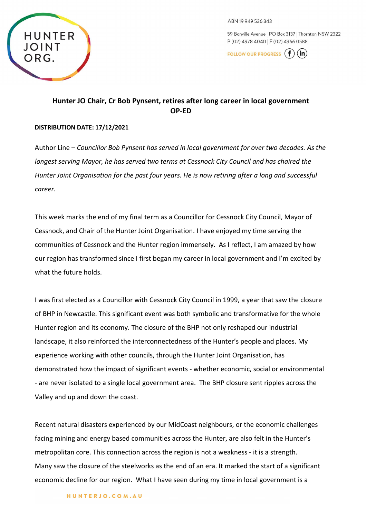

ABN 19 949 536 343

59 Bonville Avenue | PO Box 3137 | Thornton NSW 2322 P (02) 4978 4040 | F (02) 4966 0588

**FOLLOW OUR PROGRESS**  $(in)$ 

# **Hunter JO Chair, Cr Bob Pynsent, retires after long career in local government OP-ED**

## **DISTRIBUTION DATE: 17/12/2021**

Author Line – *Councillor Bob Pynsent has served in local government for over two decades. As the longest serving Mayor, he has served two terms at Cessnock City Council and has chaired the Hunter Joint Organisation for the past four years. He is now retiring after a long and successful career.* 

This week marks the end of my final term as a Councillor for Cessnock City Council, Mayor of Cessnock, and Chair of the Hunter Joint Organisation. I have enjoyed my time serving the communities of Cessnock and the Hunter region immensely. As I reflect, I am amazed by how our region has transformed since I first began my career in local government and I'm excited by what the future holds.

I was first elected as a Councillor with Cessnock City Council in 1999, a year that saw the closure of BHP in Newcastle. This significant event was both symbolic and transformative for the whole Hunter region and its economy. The closure of the BHP not only reshaped our industrial landscape, it also reinforced the interconnectedness of the Hunter's people and places. My experience working with other councils, through the Hunter Joint Organisation, has demonstrated how the impact of significant events - whether economic, social or environmental - are never isolated to a single local government area. The BHP closure sent ripples across the Valley and up and down the coast.

Recent natural disasters experienced by our MidCoast neighbours, or the economic challenges facing mining and energy based communities across the Hunter, are also felt in the Hunter's metropolitan core. This connection across the region is not a weakness - it is a strength. Many saw the closure of the steelworks as the end of an era. It marked the start of a significant economic decline for our region. What I have seen during my time in local government is a

## HUNTERJO.COM.AU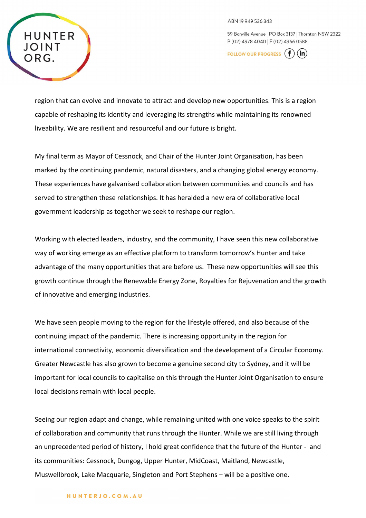

59 Bonville Avenue | PO Box 3137 | Thornton NSW 2322 P (02) 4978 4040 | F (02) 4966 0588

FOLLOW OUR PROGRESS  $(f)$  $(in)$ 



**HUNTER** 

My final term as Mayor of Cessnock, and Chair of the Hunter Joint Organisation, has been marked by the continuing pandemic, natural disasters, and a changing global energy economy. These experiences have galvanised collaboration between communities and councils and has served to strengthen these relationships. It has heralded a new era of collaborative local government leadership as together we seek to reshape our region.

Working with elected leaders, industry, and the community, I have seen this new collaborative way of working emerge as an effective platform to transform tomorrow's Hunter and take advantage of the many opportunities that are before us. These new opportunities will see this growth continue through the Renewable Energy Zone, Royalties for Rejuvenation and the growth of innovative and emerging industries.

We have seen people moving to the region for the lifestyle offered, and also because of the continuing impact of the pandemic. There is increasing opportunity in the region for international connectivity, economic diversification and the development of a Circular Economy. Greater Newcastle has also grown to become a genuine second city to Sydney, and it will be important for local councils to capitalise on this through the Hunter Joint Organisation to ensure local decisions remain with local people.

Seeing our region adapt and change, while remaining united with one voice speaks to the spirit of collaboration and community that runs through the Hunter. While we are still living through an unprecedented period of history, I hold great confidence that the future of the Hunter - and its communities: Cessnock, Dungog, Upper Hunter, MidCoast, Maitland, Newcastle, Muswellbrook, Lake Macquarie, Singleton and Port Stephens – will be a positive one.

#### HUNTERJO.COM.AU